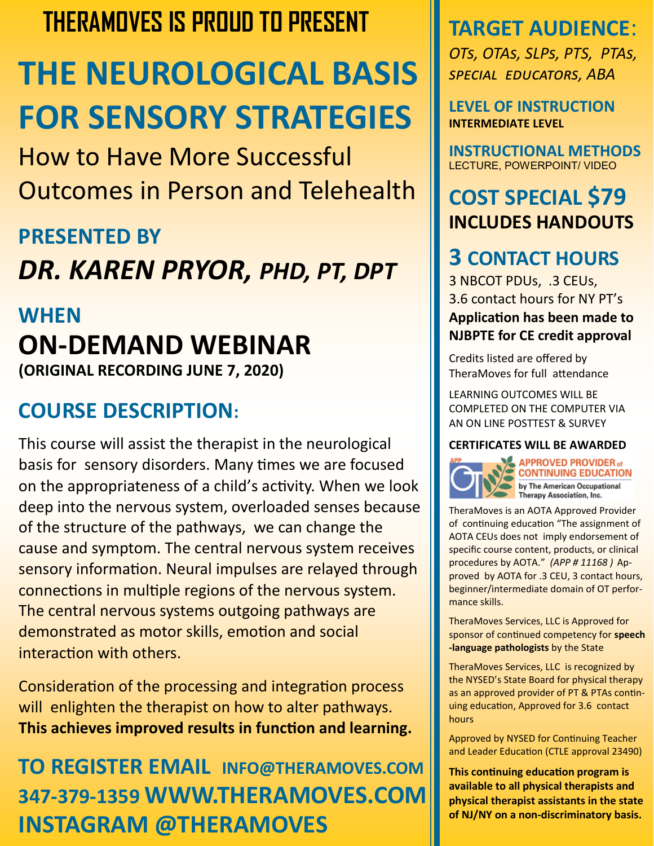### **THERAMOVES IS PROUD TO PRESENT**

# **THE NEUROLOGICAL BASIS FOR SENSORY STRATEGIES**

How to Have More Successful Outcomes in Person and Telehealth

#### **PRESENTED BY**

## *DR. KAREN PRYOR, PHD, PT, DPT*

#### **WHEN**

#### **ON-DEMAND WEBINAR (ORIGINAL RECORDING JUNE 7, 2020)**

#### **COURSE DESCRIPTION:**

This course will assist the therapist in the neurological basis for sensory disorders. Many times we are focused on the appropriateness of a child's activity. When we look deep into the nervous system, overloaded senses because of the structure of the pathways, we can change the cause and symptom. The central nervous system receives sensory information. Neural impulses are relayed through connections in multiple regions of the nervous system. The central nervous systems outgoing pathways are demonstrated as motor skills, emotion and social interaction with others.

Consideration of the processing and integration process will enlighten the therapist on how to alter pathways. **This achieves improved results in function and learning.** 

### **TO REGISTER EMAIL INFO@THERAMOVES.COM 347-379-1359 WWW.THERAMOVES.COM INSTAGRAM @THERAMOVES**

### **TARGET AUDIENCE**:

*OTs, OTAs, SLPs, PTS, PTAs, special educators, ABA*

**LEVEL OF INSTRUCTION INTERMEDIATE LEVEL**

**INSTRUCTIONAL METHODS**  LECTURE, POWERPOINT/ VIDEO

#### **COST SPECIAL \$79 INCLUDES HANDOUTS**

#### **3 CONTACT HOURS**

3 NBCOT PDUs, .3 CEUs, 3.6 contact hours for NY PT's **Application has been made to NJBPTE for CE credit approval** 

Credits listed are offered by TheraMoves for full attendance

LEARNING OUTCOMES WILL BE COMPLETED ON THE COMPUTER VIA AN ON LINE POSTTEST & SURVEY

#### **CERTIFICATES WILL BE AWARDED**



**APPROVED PROVIDER of CONTINUING EDUCATION**<br>by The American Occupational<br>Therapy Association, Inc.

TheraMoves is an AOTA Approved Provider of continuing education "The assignment of AOTA CEUs does not imply endorsement of specific course content, products, or clinical procedures by AOTA." *(APP # 11168 )* Approved by AOTA for .3 CEU, 3 contact hours, beginner/intermediate domain of OT performance skills.

TheraMoves Services, LLC is Approved for sponsor of continued competency for **speech -language pathologists** by the State

TheraMoves Services, LLC is recognized by the NYSED's State Board for physical therapy as an approved provider of PT & PTAs continuing education, Approved for 3.6 contact hours

Approved by NYSED for Continuing Teacher and Leader Education (CTLE approval 23490)

**This continuing education program is available to all physical therapists and physical therapist assistants in the state of NJ/NY on a non-discriminatory basis.**